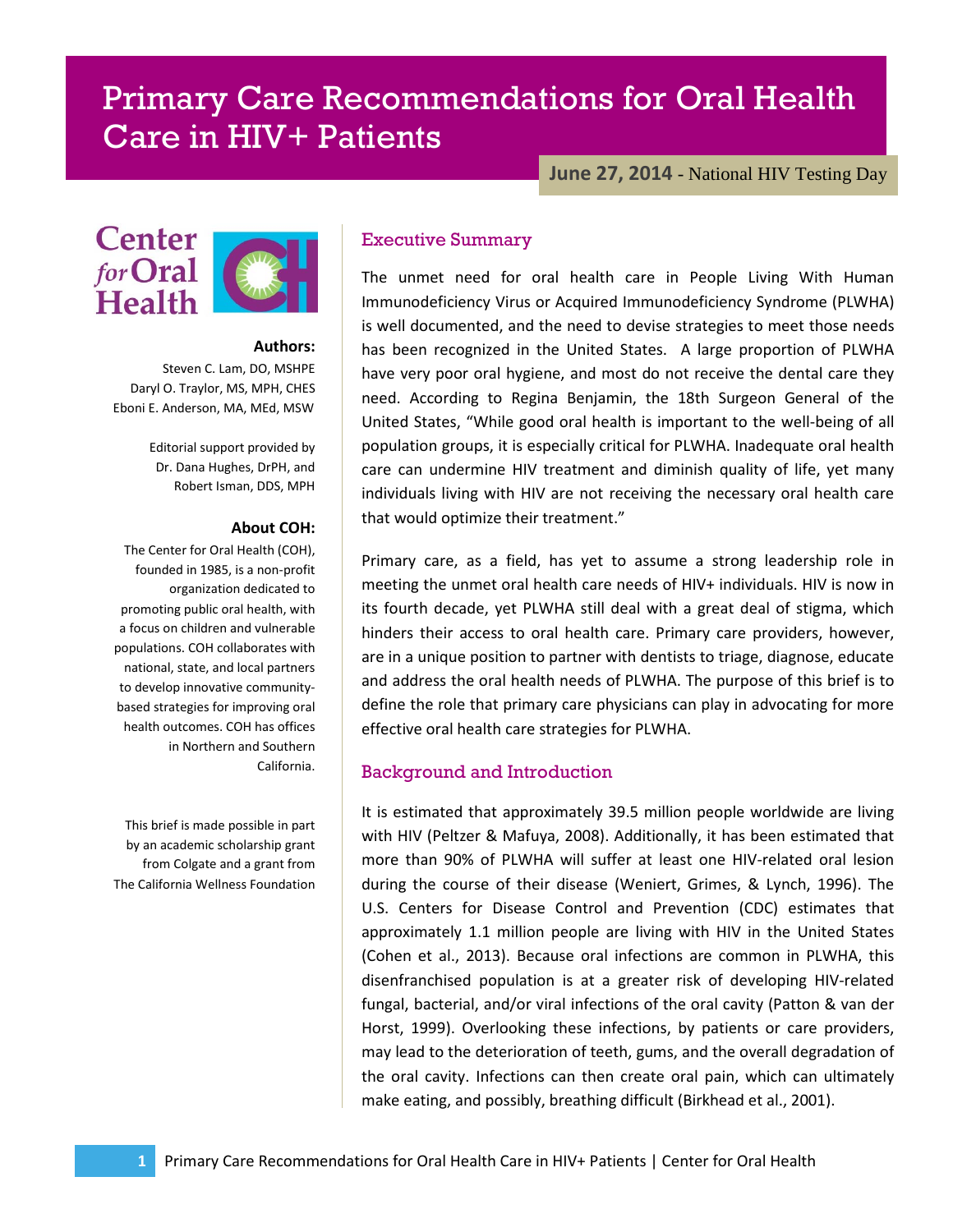# Primary Care Recommendations for Oral Health Care in HIV+ Patients

**June 27, 2014** - National HIV Testing Day



#### **Authors:**

Steven C. Lam, DO, MSHPE Daryl O. Traylor, MS, MPH, CHES Eboni E. Anderson, MA, MEd, MSW

> Editorial support provided by Dr. Dana Hughes, DrPH, and Robert Isman, DDS, MPH

#### **About COH:**

The Center for Oral Health (COH), founded in 1985, is a non-profit organization dedicated to promoting public oral health, with a focus on children and vulnerable populations. COH collaborates with national, state, and local partners to develop innovative communitybased strategies for improving oral health outcomes. COH has offices in Northern and Southern California.

This brief is made possible in part by an academic scholarship grant from Colgate and a grant from The California Wellness Foundation

## Executive Summary

The unmet need for oral health care in People Living With Human Immunodeficiency Virus or Acquired Immunodeficiency Syndrome (PLWHA) is well documented, and the need to devise strategies to meet those needs has been recognized in the United States. A large proportion of PLWHA have very poor oral hygiene, and most do not receive the dental care they need. According to Regina Benjamin, the 18th Surgeon General of the United States, "While good oral health is important to the well-being of all population groups, it is especially critical for PLWHA. Inadequate oral health care can undermine HIV treatment and diminish quality of life, yet many individuals living with HIV are not receiving the necessary oral health care that would optimize their treatment."

Primary care, as a field, has yet to assume a strong leadership role in meeting the unmet oral health care needs of HIV+ individuals. HIV is now in its fourth decade, yet PLWHA still deal with a great deal of stigma, which hinders their access to oral health care. Primary care providers, however, are in a unique position to partner with dentists to triage, diagnose, educate and address the oral health needs of PLWHA. The purpose of this brief is to define the role that primary care physicians can play in advocating for more effective oral health care strategies for PLWHA.

#### Background and Introduction

It is estimated that approximately 39.5 million people worldwide are living with HIV (Peltzer & Mafuya, 2008). Additionally, it has been estimated that more than 90% of PLWHA will suffer at least one HIV-related oral lesion during the course of their disease (Weniert, Grimes, & Lynch, 1996). The U.S. Centers for Disease Control and Prevention (CDC) estimates that approximately 1.1 million people are living with HIV in the United States (Cohen et al., 2013). Because oral infections are common in PLWHA, this disenfranchised population is at a greater risk of developing HIV-related fungal, bacterial, and/or viral infections of the oral cavity (Patton & van der Horst, 1999). Overlooking these infections, by patients or care providers, may lead to the deterioration of teeth, gums, and the overall degradation of the oral cavity. Infections can then create oral pain, which can ultimately make eating, and possibly, breathing difficult (Birkhead et al., 2001).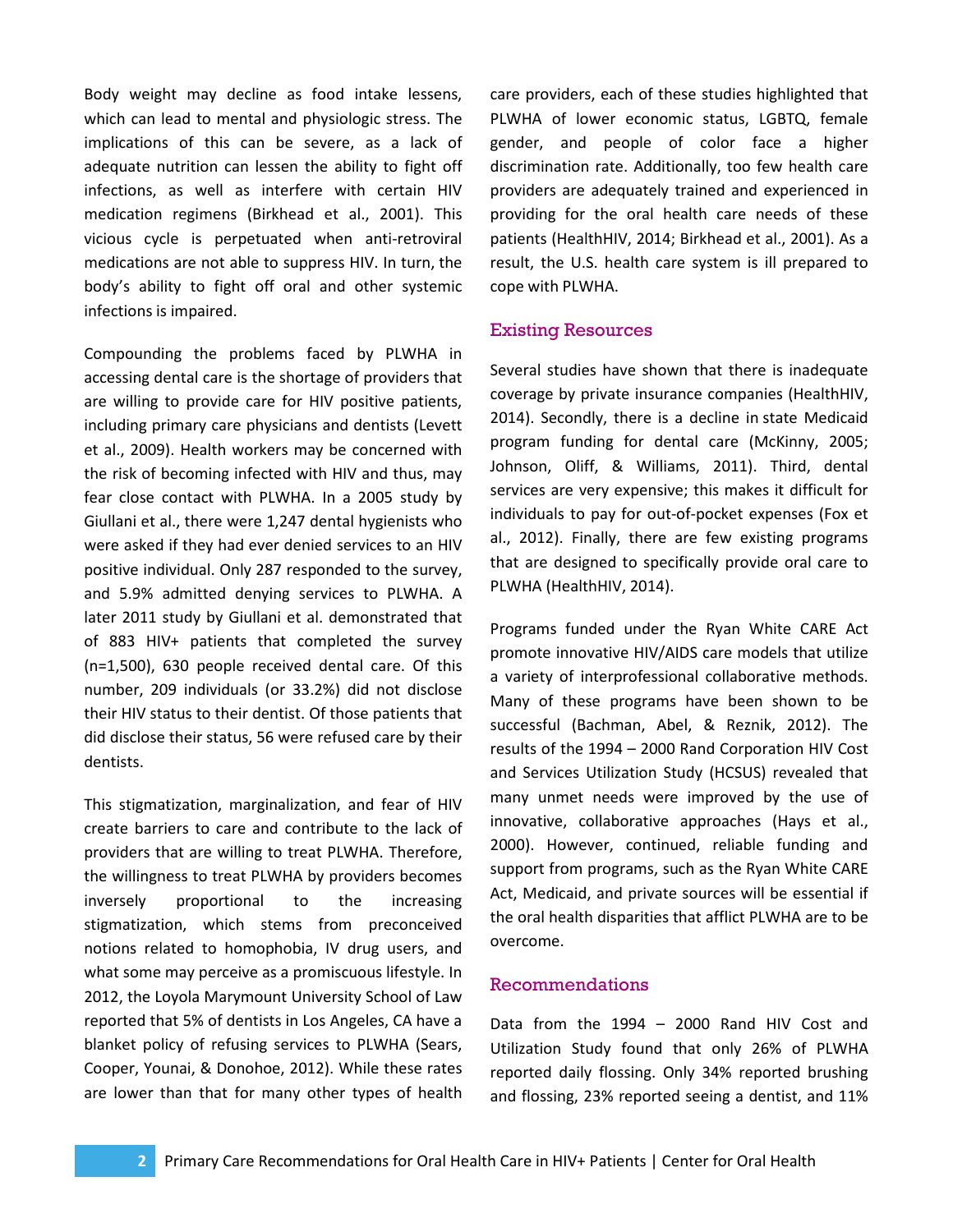Body weight may decline as food intake lessens, which can lead to mental and physiologic stress. The implications of this can be severe, as a lack of adequate nutrition can lessen the ability to fight off infections, as well as interfere with certain HIV medication regimens (Birkhead et al., 2001). This vicious cycle is perpetuated when anti-retroviral medications are not able to suppress HIV. In turn, the body's ability to fight off oral and other systemic infections is impaired.

Compounding the problems faced by PLWHA in accessing dental care is the shortage of providers that are willing to provide care for HIV positive patients, including primary care physicians and dentists (Levett et al., 2009). Health workers may be concerned with the risk of becoming infected with HIV and thus, may fear close contact with PLWHA. In a 2005 study by Giullani et al., there were 1,247 dental hygienists who were asked if they had ever denied services to an HIV positive individual. Only 287 responded to the survey, and 5.9% admitted denying services to PLWHA. A later 2011 study by Giullani et al. demonstrated that of 883 HIV+ patients that completed the survey (n=1,500), 630 people received dental care. Of this number, 209 individuals (or 33.2%) did not disclose their HIV status to their dentist. Of those patients that did disclose their status, 56 were refused care by their dentists.

This stigmatization, marginalization, and fear of HIV create barriers to care and contribute to the lack of providers that are willing to treat PLWHA. Therefore, the willingness to treat PLWHA by providers becomes inversely proportional to the increasing stigmatization, which stems from preconceived notions related to homophobia, IV drug users, and what some may perceive as a promiscuous lifestyle. In 2012, the Loyola Marymount University School of Law reported that 5% of dentists in Los Angeles, CA have a blanket policy of refusing services to PLWHA (Sears, Cooper, Younai, & Donohoe, 2012). While these rates are lower than that for many other types of health

care providers, each of these studies highlighted that PLWHA of lower economic status, LGBTQ, female gender, and people of color face a higher discrimination rate. Additionally, too few health care providers are adequately trained and experienced in providing for the oral health care needs of these patients (HealthHIV, 2014; Birkhead et al., 2001). As a result, the U.S. health care system is ill prepared to cope with PLWHA.

## Existing Resources

Several studies have shown that there is inadequate coverage by private insurance companies (HealthHIV, 2014). Secondly, there is a decline in state Medicaid program funding for dental care (McKinny, 2005; Johnson, Oliff, & Williams, 2011). Third, dental services are very expensive; this makes it difficult for individuals to pay for out-of-pocket expenses (Fox et al., 2012). Finally, there are few existing programs that are designed to specifically provide oral care to PLWHA (HealthHIV, 2014).

Programs funded under the Ryan White CARE Act promote innovative HIV/AIDS care models that utilize a variety of interprofessional collaborative methods. Many of these programs have been shown to be successful (Bachman, Abel, & Reznik, 2012). The results of the 1994 – 2000 Rand Corporation HIV Cost and Services Utilization Study (HCSUS) revealed that many unmet needs were improved by the use of innovative, collaborative approaches (Hays et al., 2000). However, continued, reliable funding and support from programs, such as the Ryan White CARE Act, Medicaid, and private sources will be essential if the oral health disparities that afflict PLWHA are to be overcome.

## Recommendations

Data from the 1994 – 2000 Rand HIV Cost and Utilization Study found that only 26% of PLWHA reported daily flossing. Only 34% reported brushing and flossing, 23% reported seeing a dentist, and 11%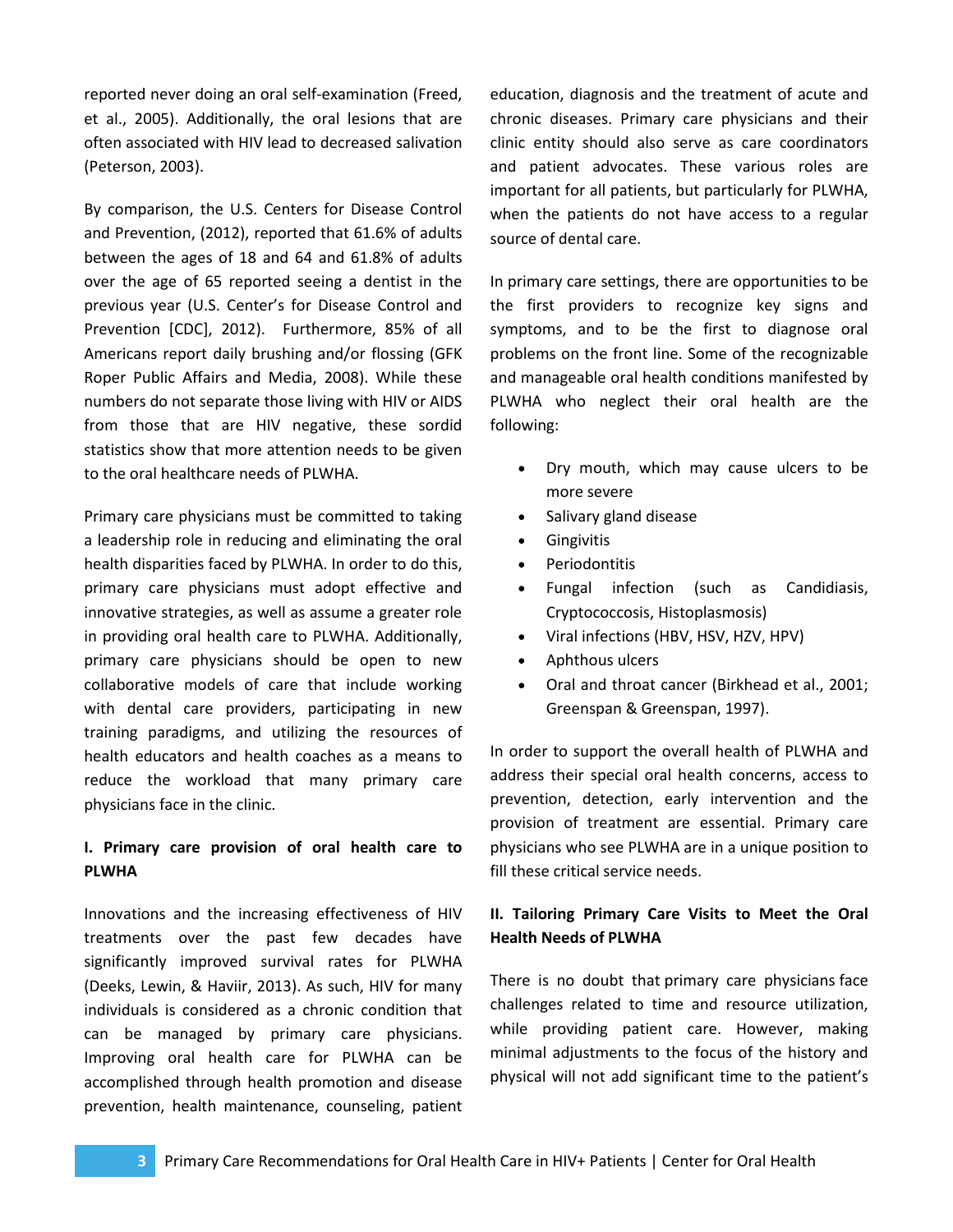reported never doing an oral self-examination (Freed, et al., 2005). Additionally, the oral lesions that are often associated with HIV lead to decreased salivation (Peterson, 2003).

By comparison, the U.S. Centers for Disease Control and Prevention, (2012), reported that 61.6% of adults between the ages of 18 and 64 and 61.8% of adults over the age of 65 reported seeing a dentist in the previous year (U.S. Center's for Disease Control and Prevention [CDC], 2012). Furthermore, 85% of all Americans report daily brushing and/or flossing (GFK Roper Public Affairs and Media, 2008). While these numbers do not separate those living with HIV or AIDS from those that are HIV negative, these sordid statistics show that more attention needs to be given to the oral healthcare needs of PLWHA.

Primary care physicians must be committed to taking a leadership role in reducing and eliminating the oral health disparities faced by PLWHA. In order to do this, primary care physicians must adopt effective and innovative strategies, as well as assume a greater role in providing oral health care to PLWHA. Additionally, primary care physicians should be open to new collaborative models of care that include working with dental care providers, participating in new training paradigms, and utilizing the resources of health educators and health coaches as a means to reduce the workload that many primary care physicians face in the clinic.

## **I. Primary care provision of oral health care to PLWHA**

Innovations and the increasing effectiveness of HIV treatments over the past few decades have significantly improved survival rates for PLWHA (Deeks, Lewin, & Haviir, 2013). As such, HIV for many individuals is considered as a chronic condition that can be managed by primary care physicians. Improving oral health care for PLWHA can be accomplished through health promotion and disease prevention, health maintenance, counseling, patient education, diagnosis and the treatment of acute and chronic diseases. Primary care physicians and their clinic entity should also serve as care coordinators and patient advocates. These various roles are important for all patients, but particularly for PLWHA, when the patients do not have access to a regular source of dental care.

In primary care settings, there are opportunities to be the first providers to recognize key signs and symptoms, and to be the first to diagnose oral problems on the front line. Some of the recognizable and manageable oral health conditions manifested by PLWHA who neglect their oral health are the following:

- Dry mouth, which may cause ulcers to be more severe
- Salivary gland disease
- Gingivitis
- Periodontitis
- Fungal infection (such as Candidiasis, Cryptococcosis, Histoplasmosis)
- Viral infections (HBV, HSV, HZV, HPV)
- Aphthous ulcers
- Oral and throat cancer (Birkhead et al., 2001; Greenspan & Greenspan, 1997).

In order to support the overall health of PLWHA and address their special oral health concerns, access to prevention, detection, early intervention and the provision of treatment are essential. Primary care physicians who see PLWHA are in a unique position to fill these critical service needs.

# **II. Tailoring Primary Care Visits to Meet the Oral Health Needs of PLWHA**

There is no doubt that primary care physicians face challenges related to time and resource utilization, while providing patient care. However, making minimal adjustments to the focus of the history and physical will not add significant time to the patient's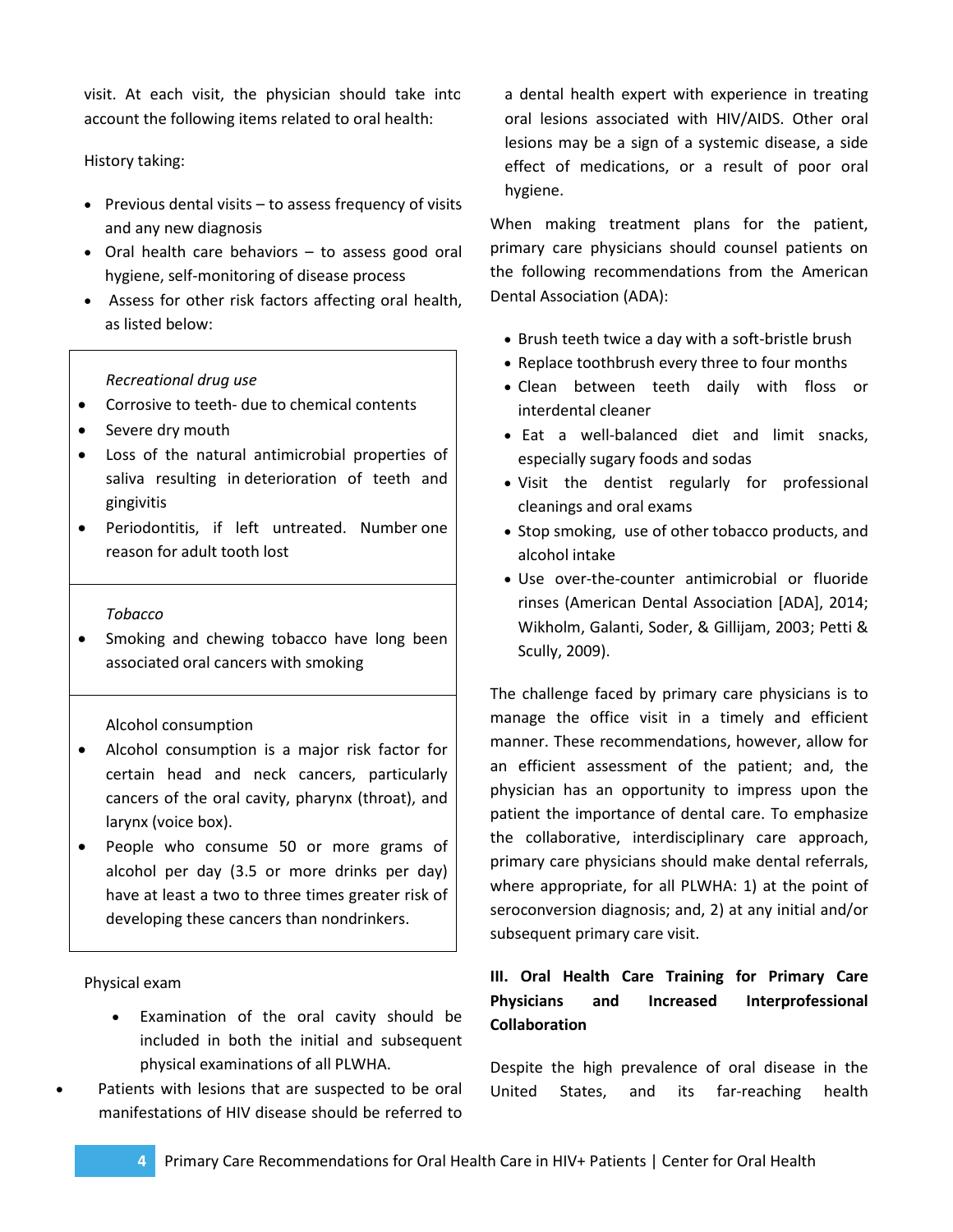visit. At each visit, the physician should take into account the following items related to oral health:

## History taking:

- Previous dental visits to assess frequency of visits and any new diagnosis
- Oral health care behaviors to assess good oral hygiene, self-monitoring of disease process
- Assess for other risk factors affecting oral health, as listed below:

## *Recreational drug use*

- Corrosive to teeth- due to chemical contents
- Severe dry mouth
- Loss of the natural antimicrobial properties of saliva resulting in deterioration of teeth and gingivitis
- Periodontitis, if left untreated. Number one reason for adult tooth lost

#### *Tobacco*

• Smoking and chewing tobacco have long been associated oral cancers with smoking

#### Alcohol consumption

- Alcohol consumption is a major risk factor for certain head and neck cancers, particularly cancers of the oral cavity, pharynx (throat), and larynx (voice box).
- People who consume 50 or more grams of alcohol per day (3.5 or more drinks per day) have at least a two to three times greater risk of developing these cancers than nondrinkers.

Physical exam

- Examination of the oral cavity should be included in both the initial and subsequent physical examinations of all PLWHA.
- Patients with lesions that are suspected to be oral manifestations of HIV disease should be referred to

a dental health expert with experience in treating oral lesions associated with HIV/AIDS. Other oral lesions may be a sign of a systemic disease, a side effect of medications, or a result of poor oral hygiene.

When making treatment plans for the patient, primary care physicians should counsel patients on the following recommendations from the American Dental Association (ADA):

- Brush teeth twice a day with a soft-bristle brush
- Replace toothbrush every three to four months
- Clean between teeth daily with floss or interdental cleaner
- Eat a well-balanced diet and limit snacks, especially sugary foods and sodas
- Visit the dentist regularly for professional cleanings and oral exams
- Stop smoking, use of other tobacco products, and alcohol intake
- Use over-the-counter antimicrobial or fluoride rinses (American Dental Association [ADA], 2014; Wikholm, Galanti, Soder, & Gillijam, 2003; Petti & Scully, 2009).

The challenge faced by primary care physicians is to manage the office visit in a timely and efficient manner. These recommendations, however, allow for an efficient assessment of the patient; and, the physician has an opportunity to impress upon the patient the importance of dental care. To emphasize the collaborative, interdisciplinary care approach, primary care physicians should make dental referrals, where appropriate, for all PLWHA: 1) at the point of seroconversion diagnosis; and, 2) at any initial and/or subsequent primary care visit.

# **III. Oral Health Care Training for Primary Care Physicians and Increased Interprofessional Collaboration**

Despite the high prevalence of oral disease in the United States, and its far-reaching health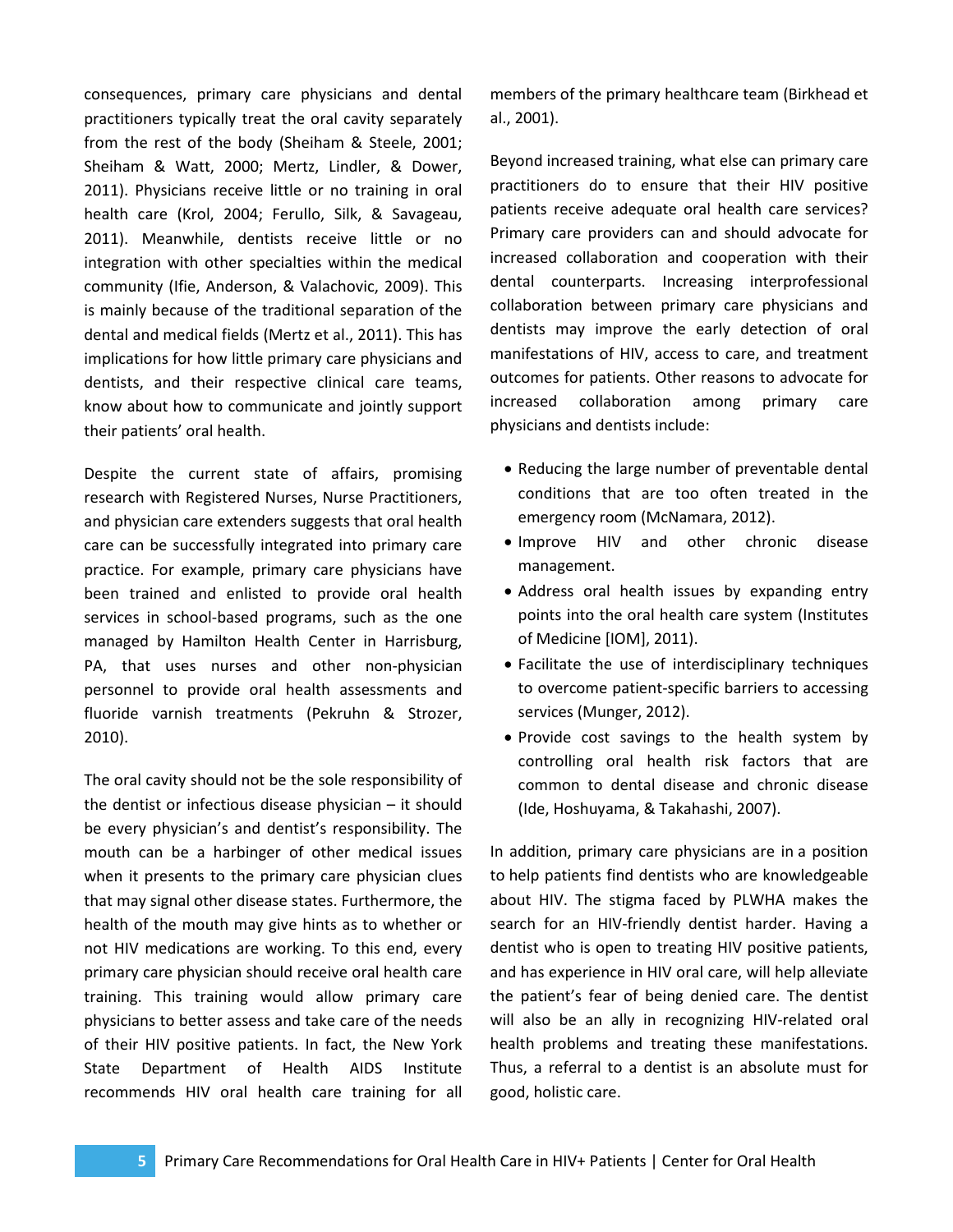consequences, primary care physicians and dental practitioners typically treat the oral cavity separately from the rest of the body (Sheiham & Steele, 2001; Sheiham & Watt, 2000; Mertz, Lindler, & Dower, 2011). Physicians receive little or no training in oral health care (Krol, 2004; Ferullo, Silk, & Savageau, 2011). Meanwhile, dentists receive little or no integration with other specialties within the medical community (Ifie, Anderson, & Valachovic, 2009). This is mainly because of the traditional separation of the dental and medical fields (Mertz et al., 2011). This has implications for how little primary care physicians and dentists, and their respective clinical care teams, know about how to communicate and jointly support their patients' oral health.

Despite the current state of affairs, promising research with Registered Nurses, Nurse Practitioners, and physician care extenders suggests that oral health care can be successfully integrated into primary care practice. For example, primary care physicians have been trained and enlisted to provide oral health services in school-based programs, such as the one managed by Hamilton Health Center in Harrisburg, PA, that uses nurses and other non-physician personnel to provide oral health assessments and fluoride varnish treatments (Pekruhn & Strozer, 2010).

The oral cavity should not be the sole responsibility of the dentist or infectious disease physician – it should be every physician's and dentist's responsibility. The mouth can be a harbinger of other medical issues when it presents to the primary care physician clues that may signal other disease states. Furthermore, the health of the mouth may give hints as to whether or not HIV medications are working. To this end, every primary care physician should receive oral health care training. This training would allow primary care physicians to better assess and take care of the needs of their HIV positive patients. In fact, the New York State Department of Health AIDS Institute recommends HIV oral health care training for all

members of the primary healthcare team (Birkhead et al., 2001).

Beyond increased training, what else can primary care practitioners do to ensure that their HIV positive patients receive adequate oral health care services? Primary care providers can and should advocate for increased collaboration and cooperation with their dental counterparts. Increasing interprofessional collaboration between primary care physicians and dentists may improve the early detection of oral manifestations of HIV, access to care, and treatment outcomes for patients. Other reasons to advocate for increased collaboration among primary care physicians and dentists include:

- Reducing the large number of preventable dental conditions that are too often treated in the emergency room (McNamara, 2012).
- Improve HIV and other chronic disease management.
- Address oral health issues by expanding entry points into the oral health care system (Institutes of Medicine [IOM], 2011).
- Facilitate the use of interdisciplinary techniques to overcome patient-specific barriers to accessing services (Munger, 2012).
- Provide cost savings to the health system by controlling oral health risk factors that are common to dental disease and chronic disease (Ide, Hoshuyama, & Takahashi, 2007).

In addition, primary care physicians are in a position to help patients find dentists who are knowledgeable about HIV. The stigma faced by PLWHA makes the search for an HIV-friendly dentist harder. Having a dentist who is open to treating HIV positive patients, and has experience in HIV oral care, will help alleviate the patient's fear of being denied care. The dentist will also be an ally in recognizing HIV-related oral health problems and treating these manifestations. Thus, a referral to a dentist is an absolute must for good, holistic care.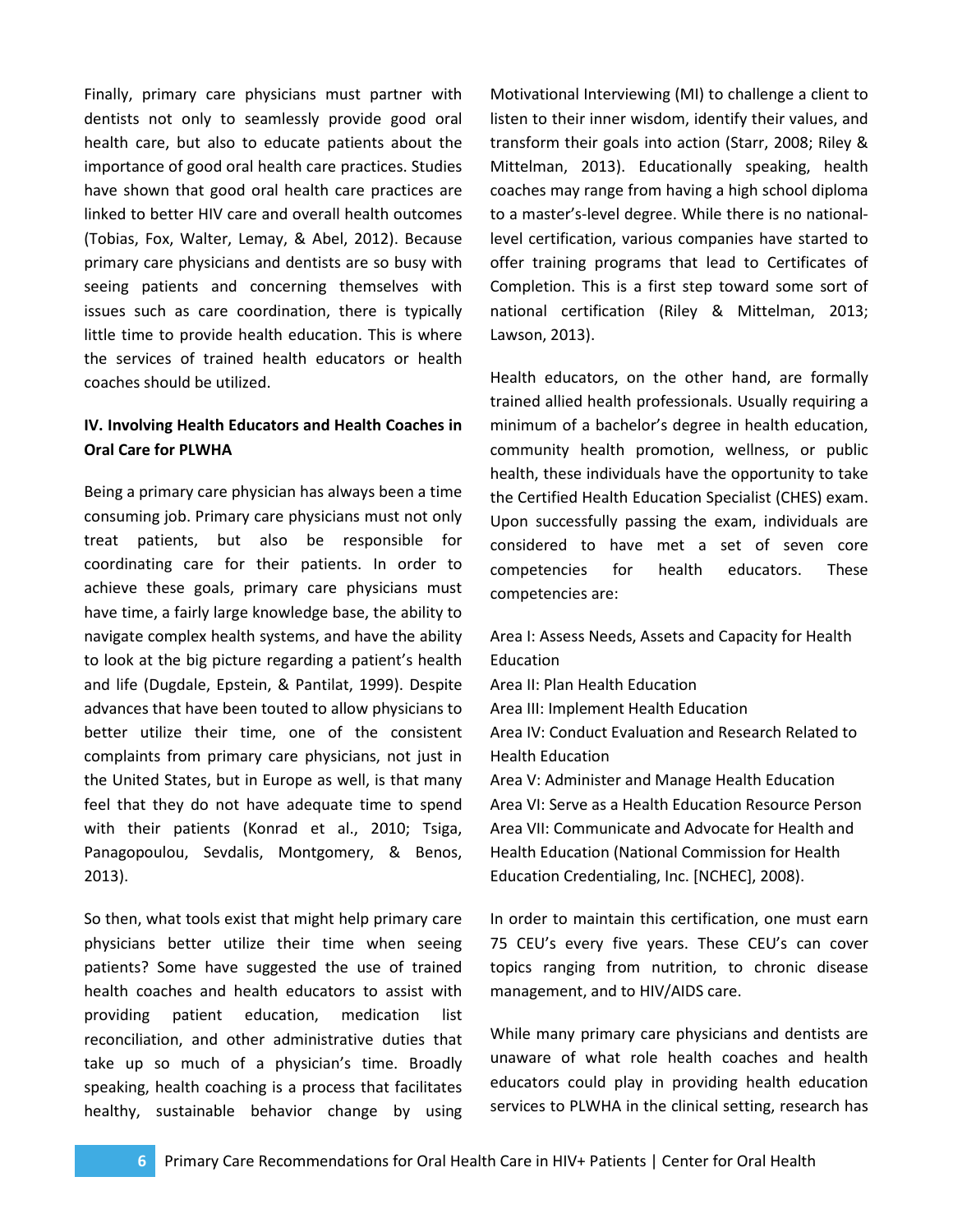Finally, primary care physicians must partner with dentists not only to seamlessly provide good oral health care, but also to educate patients about the importance of good oral health care practices. Studies have shown that good oral health care practices are linked to better HIV care and overall health outcomes (Tobias, Fox, Walter, Lemay, & Abel, 2012). Because primary care physicians and dentists are so busy with seeing patients and concerning themselves with issues such as care coordination, there is typically little time to provide health education. This is where the services of trained health educators or health coaches should be utilized.

# **IV. Involving Health Educators and Health Coaches in Oral Care for PLWHA**

Being a primary care physician has always been a time consuming job. Primary care physicians must not only treat patients, but also be responsible for coordinating care for their patients. In order to achieve these goals, primary care physicians must have time, a fairly large knowledge base, the ability to navigate complex health systems, and have the ability to look at the big picture regarding a patient's health and life (Dugdale, Epstein, & Pantilat, 1999). Despite advances that have been touted to allow physicians to better utilize their time, one of the consistent complaints from primary care physicians, not just in the United States, but in Europe as well, is that many feel that they do not have adequate time to spend with their patients (Konrad et al., 2010; Tsiga, Panagopoulou, Sevdalis, Montgomery, & Benos, 2013).

So then, what tools exist that might help primary care physicians better utilize their time when seeing patients? Some have suggested the use of trained health coaches and health educators to assist with providing patient education, medication list reconciliation, and other administrative duties that take up so much of a physician's time. Broadly speaking, health coaching is a process that facilitates healthy, sustainable behavior change by using

Motivational Interviewing (MI) to challenge a client to listen to their inner wisdom, identify their values, and transform their goals into action (Starr, 2008; Riley & Mittelman, 2013). Educationally speaking, health coaches may range from having a high school diploma to a master's-level degree. While there is no nationallevel certification, various companies have started to offer training programs that lead to Certificates of Completion. This is a first step toward some sort of national certification (Riley & Mittelman, 2013; Lawson, 2013).

Health educators, on the other hand, are formally trained allied health professionals. Usually requiring a minimum of a bachelor's degree in health education, community health promotion, wellness, or public health, these individuals have the opportunity to take the Certified Health Education Specialist (CHES) exam. Upon successfully passing the exam, individuals are considered to have met a set of seven core competencies for health educators. These competencies are:

Area I: Assess Needs, Assets and Capacity for Health Education Area II: Plan Health Education Area III: Implement Health Education Area IV: Conduct Evaluation and Research Related to Health Education Area V: Administer and Manage Health Education Area VI: Serve as a Health Education Resource Person Area VII: Communicate and Advocate for Health and Health Education (National Commission for Health Education Credentialing, Inc. [NCHEC], 2008).

In order to maintain this certification, one must earn 75 CEU's every five years. These CEU's can cover topics ranging from nutrition, to chronic disease management, and to HIV/AIDS care.

While many primary care physicians and dentists are unaware of what role health coaches and health educators could play in providing health education services to PLWHA in the clinical setting, research has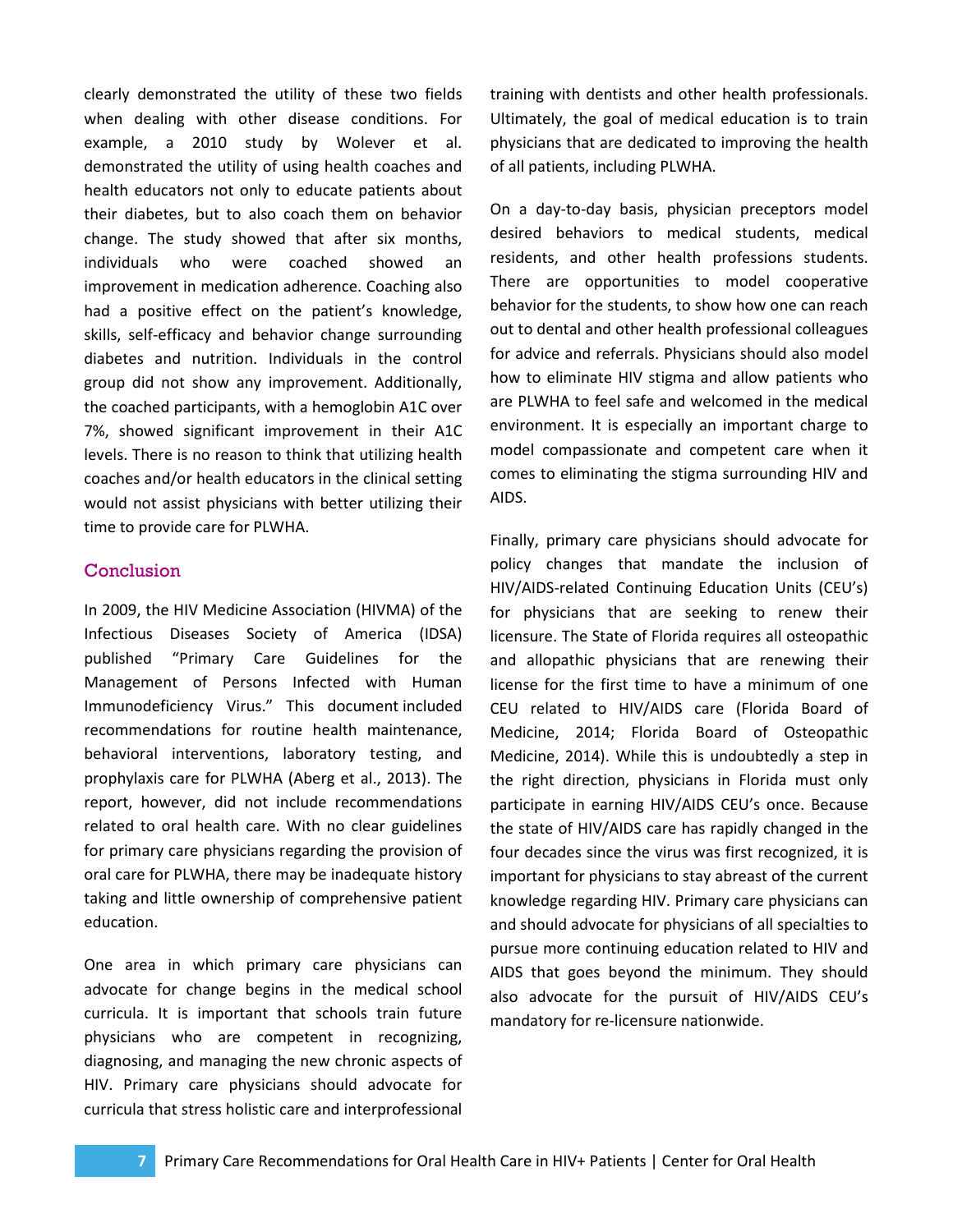clearly demonstrated the utility of these two fields when dealing with other disease conditions. For example, a 2010 study by Wolever et al. demonstrated the utility of using health coaches and health educators not only to educate patients about their diabetes, but to also coach them on behavior change. The study showed that after six months, individuals who were coached showed an improvement in medication adherence. Coaching also had a positive effect on the patient's knowledge, skills, self-efficacy and behavior change surrounding diabetes and nutrition. Individuals in the control group did not show any improvement. Additionally, the coached participants, with a hemoglobin A1C over 7%, showed significant improvement in their A1C levels. There is no reason to think that utilizing health coaches and/or health educators in the clinical setting would not assist physicians with better utilizing their time to provide care for PLWHA.

## **Conclusion**

In 2009, the HIV Medicine Association (HIVMA) of the Infectious Diseases Society of America (IDSA) published "Primary Care Guidelines for the Management of Persons Infected with Human Immunodeficiency Virus." This document included recommendations for routine health maintenance, behavioral interventions, laboratory testing, and prophylaxis care for PLWHA (Aberg et al., 2013). The report, however, did not include recommendations related to oral health care. With no clear guidelines for primary care physicians regarding the provision of oral care for PLWHA, there may be inadequate history taking and little ownership of comprehensive patient education.

One area in which primary care physicians can advocate for change begins in the medical school curricula. It is important that schools train future physicians who are competent in recognizing, diagnosing, and managing the new chronic aspects of HIV. Primary care physicians should advocate for curricula that stress holistic care and interprofessional

training with dentists and other health professionals. Ultimately, the goal of medical education is to train physicians that are dedicated to improving the health of all patients, including PLWHA.

On a day-to-day basis, physician preceptors model desired behaviors to medical students, medical residents, and other health professions students. There are opportunities to model cooperative behavior for the students, to show how one can reach out to dental and other health professional colleagues for advice and referrals. Physicians should also model how to eliminate HIV stigma and allow patients who are PLWHA to feel safe and welcomed in the medical environment. It is especially an important charge to model compassionate and competent care when it comes to eliminating the stigma surrounding HIV and AIDS.

Finally, primary care physicians should advocate for policy changes that mandate the inclusion of HIV/AIDS-related Continuing Education Units (CEU's) for physicians that are seeking to renew their licensure. The State of Florida requires all osteopathic and allopathic physicians that are renewing their license for the first time to have a minimum of one CEU related to HIV/AIDS care (Florida Board of Medicine, 2014; Florida Board of Osteopathic Medicine, 2014). While this is undoubtedly a step in the right direction, physicians in Florida must only participate in earning HIV/AIDS CEU's once. Because the state of HIV/AIDS care has rapidly changed in the four decades since the virus was first recognized, it is important for physicians to stay abreast of the current knowledge regarding HIV. Primary care physicians can and should advocate for physicians of all specialties to pursue more continuing education related to HIV and AIDS that goes beyond the minimum. They should also advocate for the pursuit of HIV/AIDS CEU's mandatory for re-licensure nationwide.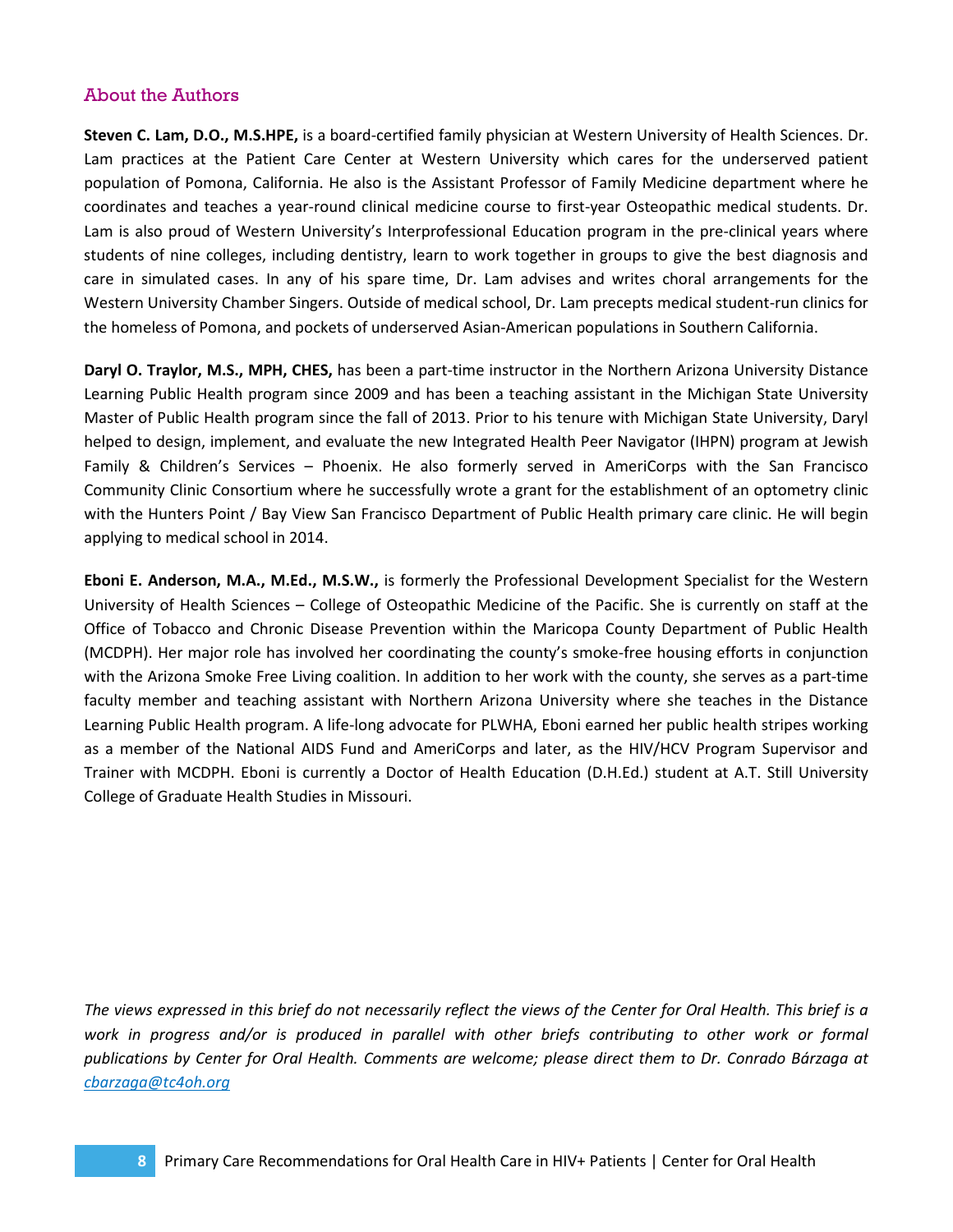# About the Authors

**Steven C. Lam, D.O., M.S.HPE,** is a board-certified family physician at Western University of Health Sciences. Dr. Lam practices at the Patient Care Center at Western University which cares for the underserved patient population of Pomona, California. He also is the Assistant Professor of Family Medicine department where he coordinates and teaches a year-round clinical medicine course to first-year Osteopathic medical students. Dr. Lam is also proud of Western University's Interprofessional Education program in the pre-clinical years where students of nine colleges, including dentistry, learn to work together in groups to give the best diagnosis and care in simulated cases. In any of his spare time, Dr. Lam advises and writes choral arrangements for the Western University Chamber Singers. Outside of medical school, Dr. Lam precepts medical student-run clinics for the homeless of Pomona, and pockets of underserved Asian-American populations in Southern California.

**Daryl O. Traylor, M.S., MPH, CHES,** has been a part-time instructor in the Northern Arizona University Distance Learning Public Health program since 2009 and has been a teaching assistant in the Michigan State University Master of Public Health program since the fall of 2013. Prior to his tenure with Michigan State University, Daryl helped to design, implement, and evaluate the new Integrated Health Peer Navigator (IHPN) program at Jewish Family & Children's Services – Phoenix. He also formerly served in AmeriCorps with the San Francisco Community Clinic Consortium where he successfully wrote a grant for the establishment of an optometry clinic with the Hunters Point / Bay View San Francisco Department of Public Health primary care clinic. He will begin applying to medical school in 2014.

**Eboni E. Anderson, M.A., M.Ed., M.S.W.,** is formerly the Professional Development Specialist for the Western University of Health Sciences – College of Osteopathic Medicine of the Pacific. She is currently on staff at the Office of Tobacco and Chronic Disease Prevention within the Maricopa County Department of Public Health (MCDPH). Her major role has involved her coordinating the county's smoke-free housing efforts in conjunction with the Arizona Smoke Free Living coalition. In addition to her work with the county, she serves as a part-time faculty member and teaching assistant with Northern Arizona University where she teaches in the Distance Learning Public Health program. A life-long advocate for PLWHA, Eboni earned her public health stripes working as a member of the National AIDS Fund and AmeriCorps and later, as the HIV/HCV Program Supervisor and Trainer with MCDPH. Eboni is currently a Doctor of Health Education (D.H.Ed.) student at A.T. Still University College of Graduate Health Studies in Missouri.

*The views expressed in this brief do not necessarily reflect the views of the Center for Oral Health. This brief is a work in progress and/or is produced in parallel with other briefs contributing to other work or formal publications by Center for Oral Health. Comments are welcome; please direct them to Dr. Conrado Bárzaga at [cbarzaga@tc4oh.org](mailto:cbarzaga@tc4oh.org)*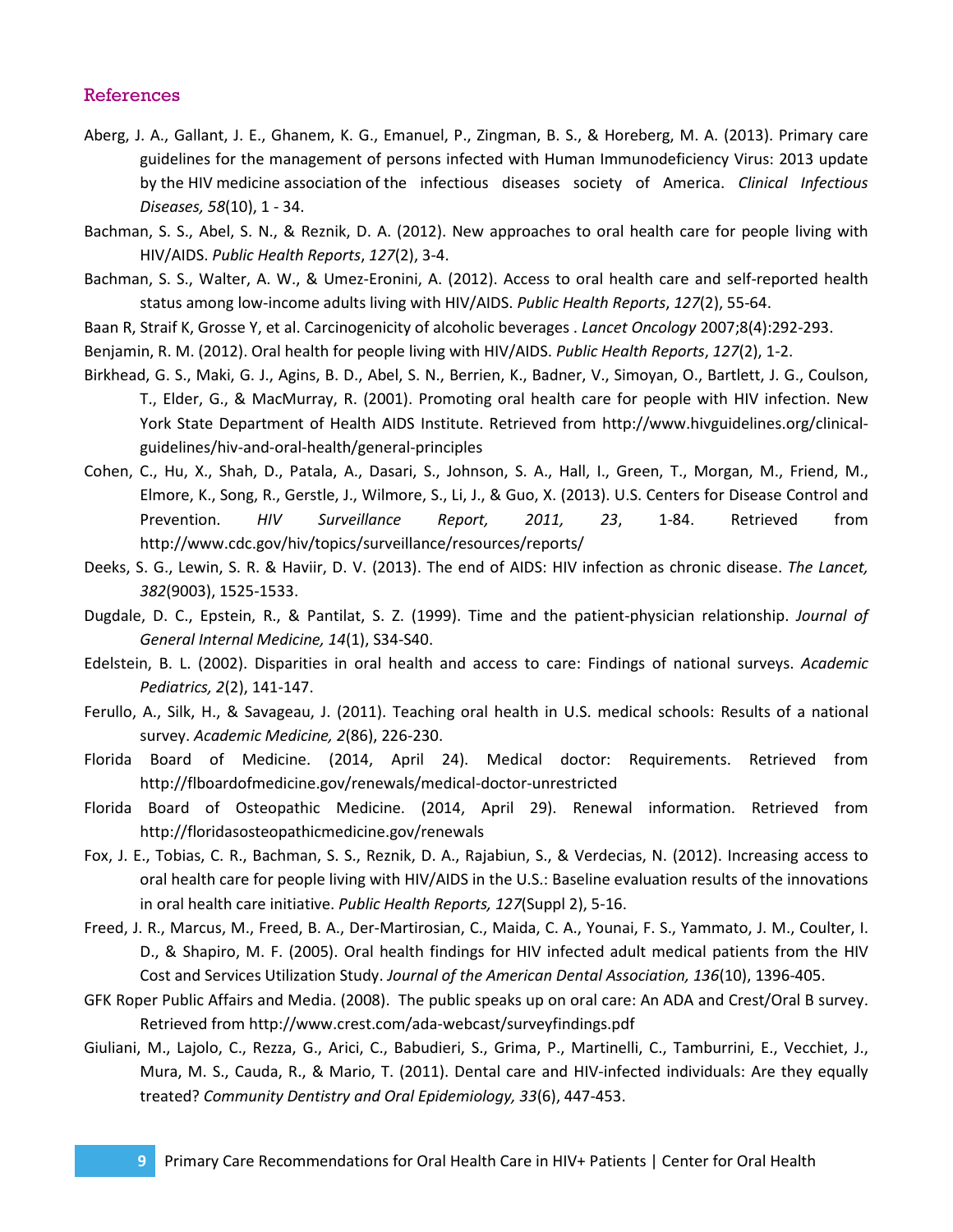## References

- Aberg, J. A., Gallant, J. E., Ghanem, K. G., Emanuel, P., Zingman, B. S., & Horeberg, M. A. (2013). Primary care guidelines for the management of persons infected with Human Immunodeficiency Virus: 2013 update by the HIV medicine association of the infectious diseases society of America. *Clinical Infectious Diseases, 58*(10), 1 - 34.
- Bachman, S. S., Abel, S. N., & Reznik, D. A. (2012). New approaches to oral health care for people living with HIV/AIDS. *Public Health Reports*, *127*(2), 3-4.
- Bachman, S. S., Walter, A. W., & Umez-Eronini, A. (2012). Access to oral health care and self-reported health status among low-income adults living with HIV/AIDS. *Public Health Reports*, *127*(2), 55-64.
- Baan R, Straif K, Grosse Y, et al. Carcinogenicity of alcoholic beverages . *Lancet Oncology* 2007;8(4):292-293.
- Benjamin, R. M. (2012). Oral health for people living with HIV/AIDS. *Public Health Reports*, *127*(2), 1-2.
- Birkhead, G. S., Maki, G. J., Agins, B. D., Abel, S. N., Berrien, K., Badner, V., Simoyan, O., Bartlett, J. G., Coulson, T., Elder, G., & MacMurray, R. (2001). Promoting oral health care for people with HIV infection. New York State Department of Health AIDS Institute. Retrieved from http://www.hivguidelines.org/clinicalguidelines/hiv-and-oral-health/general-principles
- Cohen, C., Hu, X., Shah, D., Patala, A., Dasari, S., Johnson, S. A., Hall, I., Green, T., Morgan, M., Friend, M., Elmore, K., Song, R., Gerstle, J., Wilmore, S., Li, J., & Guo, X. (2013). U.S. Centers for Disease Control and Prevention. *HIV Surveillance Report, 2011, 23*, 1-84. Retrieved from http://www.cdc.gov/hiv/topics/surveillance/resources/reports/
- Deeks, S. G., Lewin, S. R. & Haviir, D. V. (2013). The end of AIDS: HIV infection as chronic disease. *The Lancet, 382*(9003), 1525-1533.
- Dugdale, D. C., Epstein, R., & Pantilat, S. Z. (1999). Time and the patient-physician relationship. *Journal of General Internal Medicine, 14*(1), S34-S40.
- Edelstein, B. L. (2002). Disparities in oral health and access to care: Findings of national surveys. *Academic Pediatrics, 2*(2), 141-147.
- Ferullo, A., Silk, H., & Savageau, J. (2011). Teaching oral health in U.S. medical schools: Results of a national survey. *Academic Medicine, 2*(86), 226-230.
- Florida Board of Medicine. (2014, April 24). Medical doctor: Requirements. Retrieved from http://flboardofmedicine.gov/renewals/medical-doctor-unrestricted
- Florida Board of Osteopathic Medicine. (2014, April 29). Renewal information. Retrieved from http://floridasosteopathicmedicine.gov/renewals
- Fox, J. E., Tobias, C. R., Bachman, S. S., Reznik, D. A., Rajabiun, S., & Verdecias, N. (2012). Increasing access to oral health care for people living with HIV/AIDS in the U.S.: Baseline evaluation results of the innovations in oral health care initiative. *Public Health Reports, 127*(Suppl 2), 5-16.
- Freed, J. R., Marcus, M., Freed, B. A., Der-Martirosian, C., Maida, C. A., Younai, F. S., Yammato, J. M., Coulter, I. D., & Shapiro, M. F. (2005). Oral health findings for HIV infected adult medical patients from the HIV Cost and Services Utilization Study. *Journal of the American Dental Association, 136*(10), 1396-405.
- GFK Roper Public Affairs and Media. (2008). The public speaks up on oral care: An ADA and Crest/Oral B survey. Retrieved from http://www.crest.com/ada-webcast/surveyfindings.pdf
- Giuliani, M., Lajolo, C., Rezza, G., Arici, C., Babudieri, S., Grima, P., Martinelli, C., Tamburrini, E., Vecchiet, J., Mura, M. S., Cauda, R., & Mario, T. (2011). Dental care and HIV-infected individuals: Are they equally treated? *Community Dentistry and Oral Epidemiology, 33*(6), 447-453.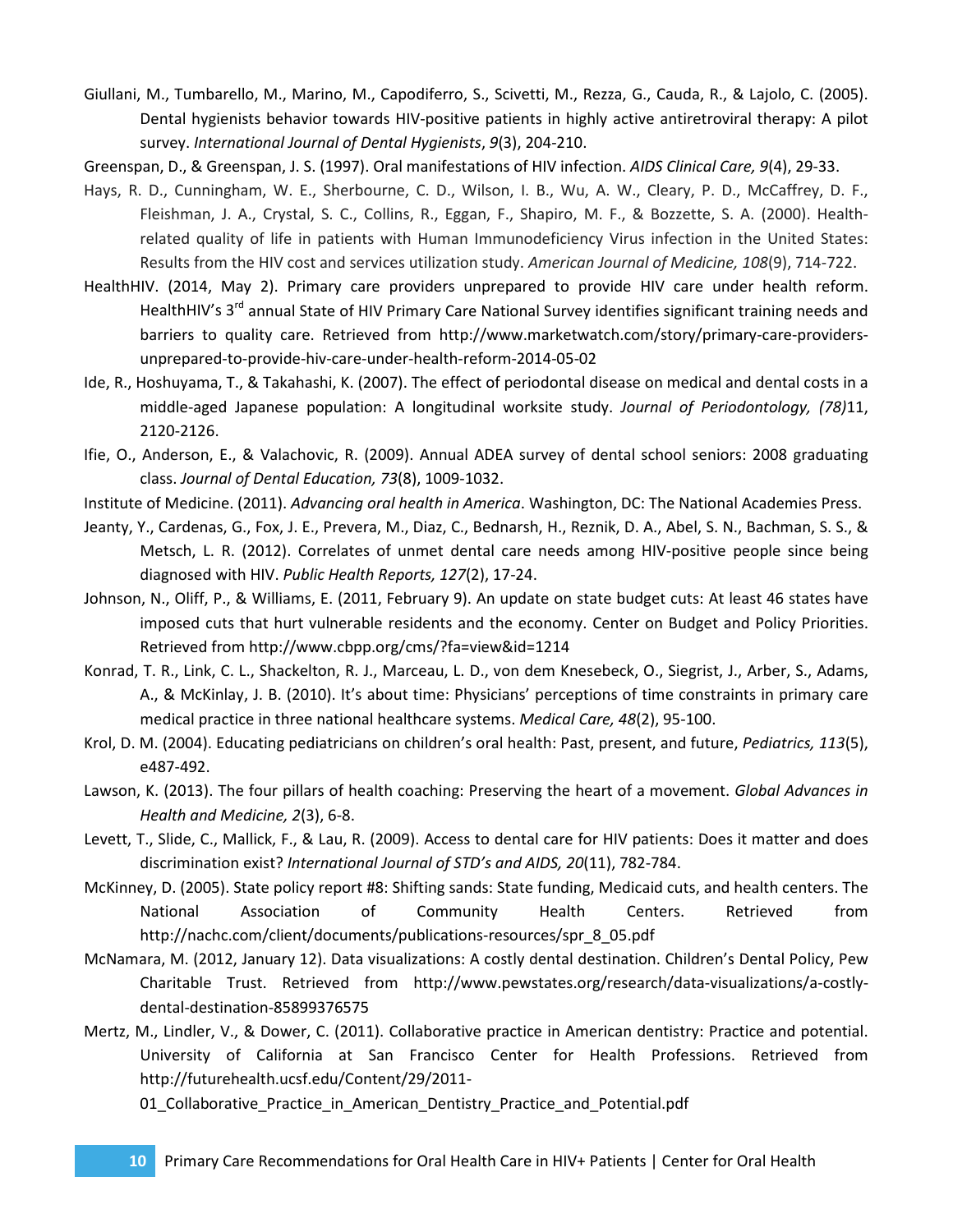- Giullani, M., Tumbarello, M., Marino, M., Capodiferro, S., Scivetti, M., Rezza, G., Cauda, R., & Lajolo, C. (2005). Dental hygienists behavior towards HIV-positive patients in highly active antiretroviral therapy: A pilot survey. *International Journal of Dental Hygienists*, *9*(3), 204-210.
- Greenspan, D., & Greenspan, J. S. (1997). Oral manifestations of HIV infection. *AIDS Clinical Care, 9*(4), 29-33.
- Hays, R. D., Cunningham, W. E., Sherbourne, C. D., Wilson, I. B., Wu, A. W., Cleary, P. D., McCaffrey, D. F., Fleishman, J. A., Crystal, S. C., Collins, R., Eggan, F., Shapiro, M. F., & Bozzette, S. A. (2000). Healthrelated quality of life in patients with Human Immunodeficiency Virus infection in the United States: Results from the HIV cost and services utilization study. *American Journal of Medicine, 108*(9), 714-722.
- HealthHIV. (2014, May 2). Primary care providers unprepared to provide HIV care under health reform. HealthHIV's 3<sup>rd</sup> annual State of HIV Primary Care National Survey identifies significant training needs and barriers to quality care. Retrieved from http://www.marketwatch.com/story/primary-care-providersunprepared-to-provide-hiv-care-under-health-reform-2014-05-02
- Ide, R., Hoshuyama, T., & Takahashi, K. (2007). The effect of periodontal disease on medical and dental costs in a middle-aged Japanese population: A longitudinal worksite study. *Journal of Periodontology, (78)*11, 2120-2126.
- Ifie, O., Anderson, E., & Valachovic, R. (2009). Annual ADEA survey of dental school seniors: 2008 graduating class. *Journal of Dental Education, 73*(8), 1009-1032.
- Institute of Medicine. (2011). *Advancing oral health in America*. Washington, DC: The National Academies Press.
- Jeanty, Y., Cardenas, G., Fox, J. E., Prevera, M., Diaz, C., Bednarsh, H., Reznik, D. A., Abel, S. N., Bachman, S. S., & Metsch, L. R. (2012). Correlates of unmet dental care needs among HIV-positive people since being diagnosed with HIV. *Public Health Reports, 127*(2), 17-24.
- Johnson, N., Oliff, P., & Williams, E. (2011, February 9). An update on state budget cuts: At least 46 states have imposed cuts that hurt vulnerable residents and the economy. Center on Budget and Policy Priorities. Retrieved from http://www.cbpp.org/cms/?fa=view&id=1214
- Konrad, T. R., Link, C. L., Shackelton, R. J., Marceau, L. D., von dem Knesebeck, O., Siegrist, J., Arber, S., Adams, A., & McKinlay, J. B. (2010). It's about time: Physicians' perceptions of time constraints in primary care medical practice in three national healthcare systems. *Medical Care, 48*(2), 95-100.
- Krol, D. M. (2004). Educating pediatricians on children's oral health: Past, present, and future, *Pediatrics, 113*(5), e487-492.
- Lawson, K. (2013). The four pillars of health coaching: Preserving the heart of a movement. *Global Advances in Health and Medicine, 2*(3), 6-8.
- Levett, T., Slide, C., Mallick, F., & Lau, R. (2009). Access to dental care for HIV patients: Does it matter and does discrimination exist? *International Journal of STD's and AIDS, 20*(11), 782-784.
- McKinney, D. (2005). State policy report #8: Shifting sands: State funding, Medicaid cuts, and health centers. The National Association of Community Health Centers. Retrieved from http://nachc.com/client/documents/publications-resources/spr\_8\_05.pdf
- McNamara, M. (2012, January 12). Data visualizations: A costly dental destination. Children's Dental Policy, Pew Charitable Trust. Retrieved from http://www.pewstates.org/research/data-visualizations/a-costlydental-destination-85899376575
- Mertz, M., Lindler, V., & Dower, C. (2011). Collaborative practice in American dentistry: Practice and potential. University of California at San Francisco Center for Health Professions. Retrieved from http://futurehealth.ucsf.edu/Content/29/2011-

01\_Collaborative\_Practice\_in\_American\_Dentistry\_Practice\_and\_Potential.pdf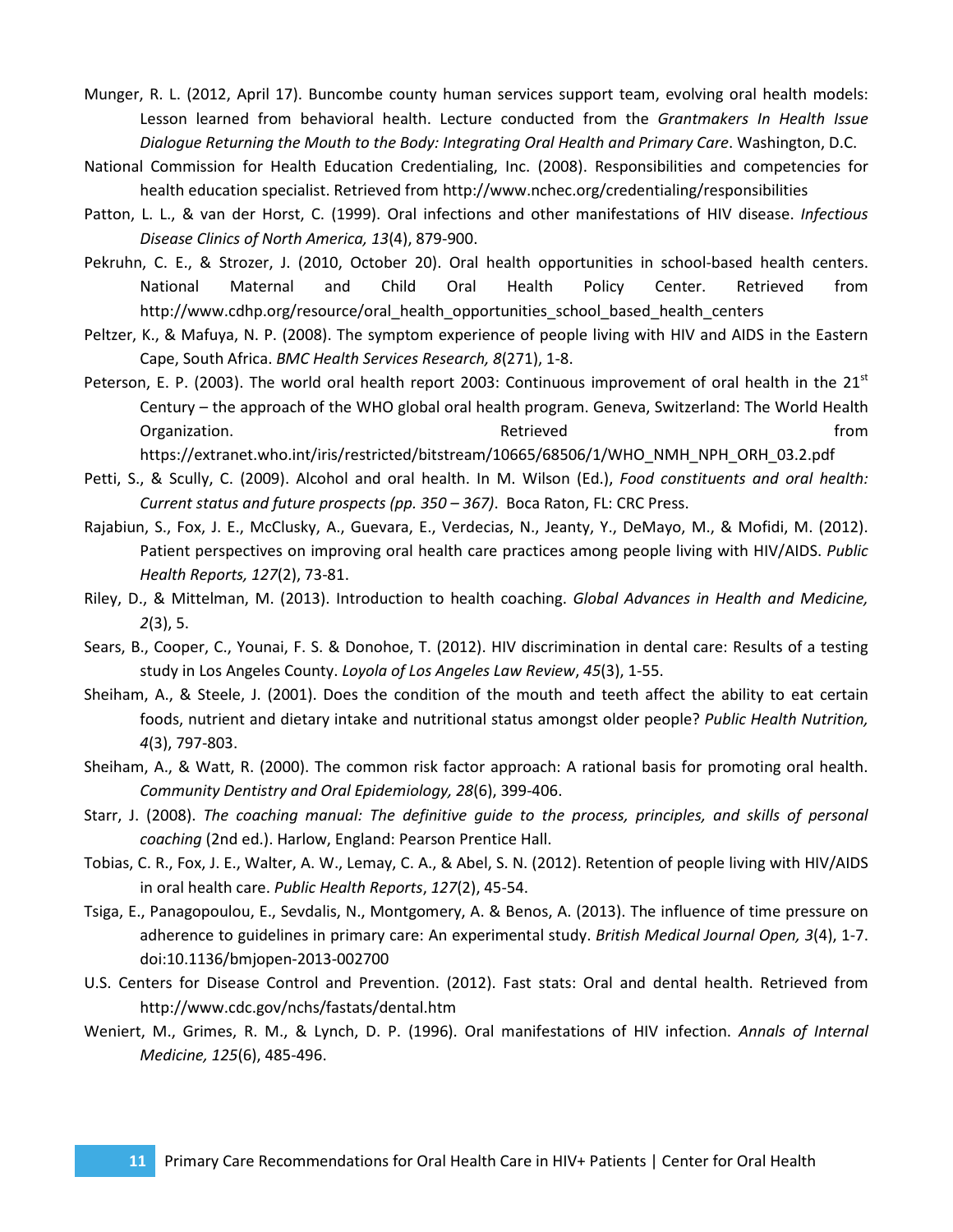- Munger, R. L. (2012, April 17). Buncombe county human services support team, evolving oral health models: Lesson learned from behavioral health. Lecture conducted from the *Grantmakers In Health Issue Dialogue Returning the Mouth to the Body: Integrating Oral Health and Primary Care*. Washington, D.C.
- National Commission for Health Education Credentialing, Inc. (2008). Responsibilities and competencies for health education specialist. Retrieved from http://www.nchec.org/credentialing/responsibilities
- Patton, L. L., & van der Horst, C. (1999). Oral infections and other manifestations of HIV disease. *Infectious Disease Clinics of North America, 13*(4), 879-900.
- Pekruhn, C. E., & Strozer, J. (2010, October 20). Oral health opportunities in school-based health centers. National Maternal and Child Oral Health Policy Center. Retrieved from http://www.cdhp.org/resource/oral\_health\_opportunities\_school\_based\_health\_centers
- Peltzer, K., & Mafuya, N. P. (2008). The symptom experience of people living with HIV and AIDS in the Eastern Cape, South Africa. *BMC Health Services Research, 8*(271), 1-8.
- Peterson, E. P. (2003). The world oral health report 2003: Continuous improvement of oral health in the  $21^{st}$ Century – the approach of the WHO global oral health program. Geneva, Switzerland: The World Health Organization. The contraction of the contraction of the contraction of the contraction of the contraction of the contraction of the contraction of the contraction of the contraction of the contraction of the contraction of

https://extranet.who.int/iris/restricted/bitstream/10665/68506/1/WHO\_NMH\_NPH\_ORH\_03.2.pdf

- Petti, S., & Scully, C. (2009). Alcohol and oral health. In M. Wilson (Ed.), *Food constituents and oral health: Current status and future prospects (pp. 350 – 367)*. Boca Raton, FL: CRC Press.
- Rajabiun, S., Fox, J. E., McClusky, A., Guevara, E., Verdecias, N., Jeanty, Y., DeMayo, M., & Mofidi, M. (2012). Patient perspectives on improving oral health care practices among people living with HIV/AIDS. *Public Health Reports, 127*(2), 73-81.
- Riley, D., & Mittelman, M. (2013). Introduction to health coaching. *Global Advances in Health and Medicine, 2*(3), 5.
- Sears, B., Cooper, C., Younai, F. S. & Donohoe, T. (2012). HIV discrimination in dental care: Results of a testing study in Los Angeles County. *Loyola of Los Angeles Law Review*, *45*(3), 1-55.
- Sheiham, A., & Steele, J. (2001). Does the condition of the mouth and teeth affect the ability to eat certain foods, nutrient and dietary intake and nutritional status amongst older people? *Public Health Nutrition, 4*(3), 797-803.
- Sheiham, A., & Watt, R. (2000). The common risk factor approach: A rational basis for promoting oral health. *Community Dentistry and Oral Epidemiology, 28*(6), 399-406.
- Starr, J. (2008). *The coaching manual: The definitive guide to the process, principles, and skills of personal coaching* (2nd ed.). Harlow, England: Pearson Prentice Hall.
- Tobias, C. R., Fox, J. E., Walter, A. W., Lemay, C. A., & Abel, S. N. (2012). Retention of people living with HIV/AIDS in oral health care. *Public Health Reports*, *127*(2), 45-54.
- Tsiga, E., Panagopoulou, E., Sevdalis, N., Montgomery, A. & Benos, A. (2013). The influence of time pressure on adherence to guidelines in primary care: An experimental study. *British Medical Journal Open, 3*(4), 1-7. doi:10.1136/bmjopen-2013-002700
- U.S. Centers for Disease Control and Prevention. (2012). Fast stats: Oral and dental health. Retrieved from http://www.cdc.gov/nchs/fastats/dental.htm
- Weniert, M., Grimes, R. M., & Lynch, D. P. (1996). Oral manifestations of HIV infection. *Annals of Internal Medicine, 125*(6), 485-496.